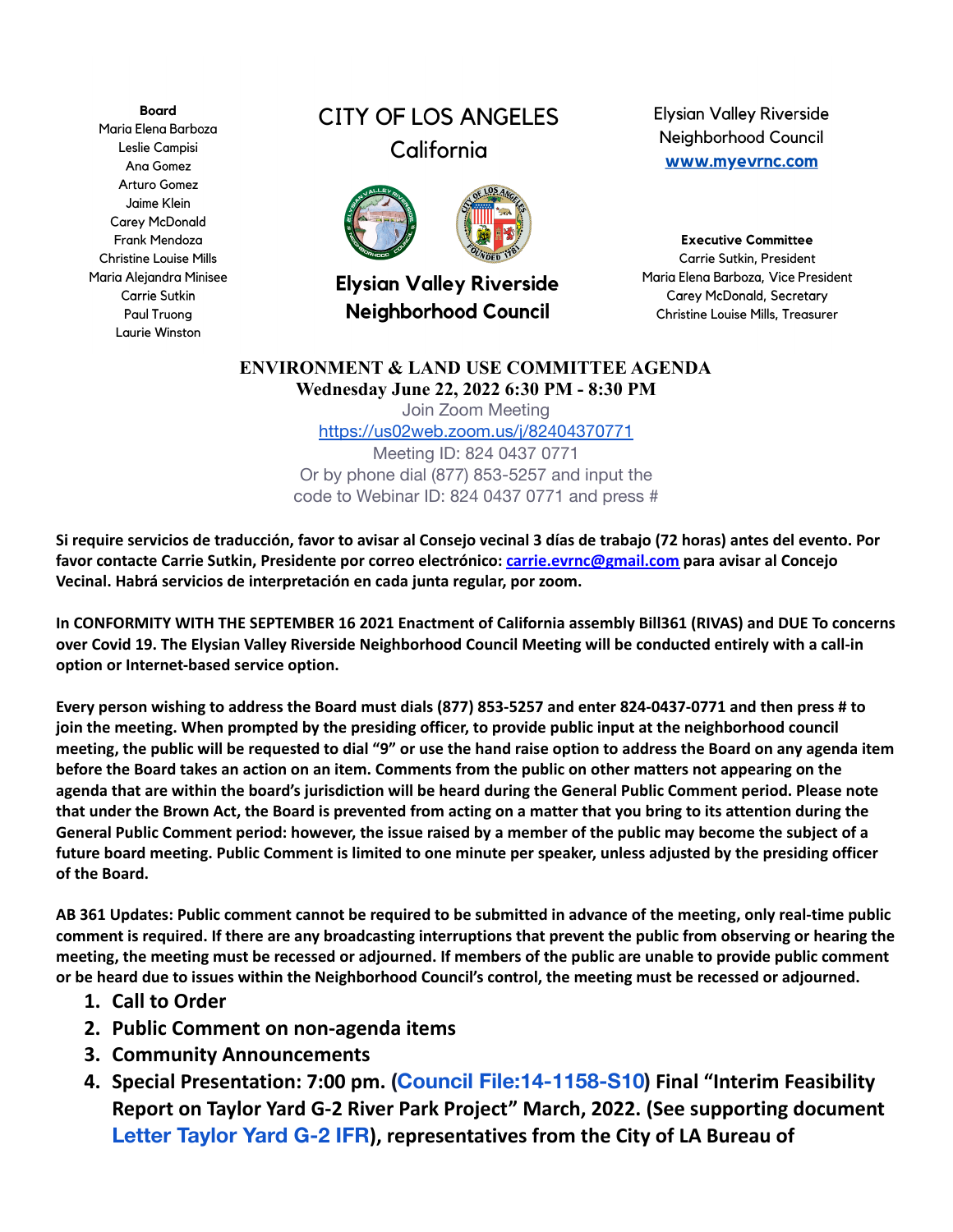**Board** Maria Elena Barboza Leslie Campisi Ana Gomez **Arturo Gomez** Jaime Klein **Carey McDonald** Frank Mendoza **Christine Louise Mills** Maria Alejandra Minisee **Carrie Sutkin** Paul Truong Laurie Winston

## **CITY OF LOS ANGELES** California



**Elysian Valley Riverside Neighborhood Council** 

**Elysian Valley Riverside** Neighborhood Council www.myevrnc.com

**Executive Committee** Carrie Sutkin, President Maria Elena Barboza, Vice President **Carey McDonald, Secretary** Christine Louise Mills, Treasurer

## **ENVIRONMENT & LAND USE COMMITTEE AGENDA Wednesday June 22, 2022 6:30 PM - 8:30 PM**

Join Zoom Meeting <https://us02web.zoom.us/j/82404370771> Meeting ID: 824 0437 0771 Or by phone dial (877) 853-5257 and input the code to Webinar ID: 824 0437 0771 and press #

Si require servicios de traducción, favor to avisar al Consejo vecinal 3 días de trabajo (72 horas) antes del evento. Por **favor contacte Carrie Sutkin, Presidente por correo electrónico: [carrie.evrnc@gmail.com](mailto:carrie.evrnc@gmail.com) para avisar al Concejo Vecinal. Habrá servicios de interpretación en cada junta regular, por zoom.**

In CONFORMITY WITH THE SEPTEMBER 16 2021 Enactment of California assembly Bill361 (RIVAS) and DUE To concerns over Covid 19. The Elysian Valley Riverside Neighborhood Council Meeting will be conducted entirely with a call-in **option or Internet-based service option.**

Every person wishing to address the Board must dials (877) 853-5257 and enter 824-0437-0771 and then press # to join the meeting. When prompted by the presiding officer, to provide public input at the neighborhood council meeting, the public will be requested to dial "9" or use the hand raise option to address the Board on any agenda item before the Board takes an action on an item. Comments from the public on other matters not appearing on the agenda that are within the board's jurisdiction will be heard during the General Public Comment period. Please note that under the Brown Act, the Board is prevented from acting on a matter that you bring to its attention during the General Public Comment period: however, the issue raised by a member of the public may become the subject of a future board meeting. Public Comment is limited to one minute per speaker, unless adjusted by the presiding officer **of the Board.**

AB 361 Updates: Public comment cannot be required to be submitted in advance of the meeting, only real-time public comment is required. If there are any broadcasting interruptions that prevent the public from observing or hearing the meeting, the meeting must be recessed or adjourned. If members of the public are unable to provide public comment or be heard due to issues within the Neighborhood Council's control, the meeting must be recessed or adjourned.

- **1. Call to Order**
- **2. Public Comment on non-agenda items**
- **3. Community Announcements**
- **4. Special Presentation: 7:00 pm. [\(Council File:14-1158-S10](https://cityclerk.lacity.org/lacityclerkconnect/index.cfm?fa=ccfi.viewrecord&cfnumber=14-1158-S10)) Final "Interim Feasibility Report on Taylor Yard G-2 River Park Project" March, 2022. (See supporting document [Letter Taylor Yard G-2 IFR](https://docs.google.com/document/d/1IichNNn9A2HVzinpBgfyQIVVgVCV90UU/edit?usp=sharing&ouid=113942986055783004707&rtpof=true&sd=true)), representatives from the City of LA Bureau of**